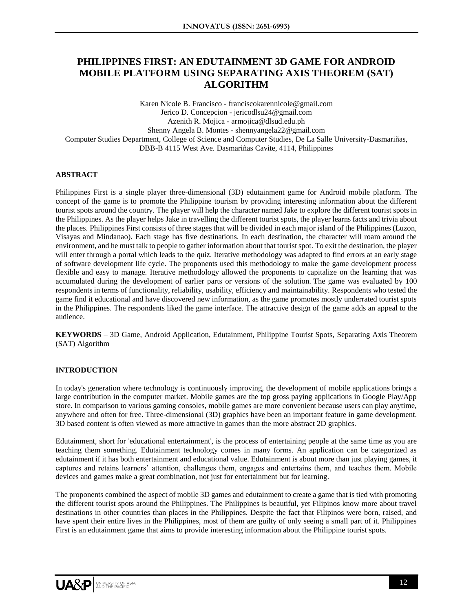# **PHILIPPINES FIRST: AN EDUTAINMENT 3D GAME FOR ANDROID MOBILE PLATFORM USING SEPARATING AXIS THEOREM (SAT) ALGORITHM**

Karen Nicole B. Francisco - franciscokarennicole@gmail.com Jerico D. Concepcion - jericodlsu24@gmail.com Azenith R. Mojica - armojica@dlsud.edu.ph Shenny Angela B. Montes - shennyangela22@gmail.com Computer Studies Department, College of Science and Computer Studies, De La Salle University-Dasmariñas, DBB-B 4115 West Ave. Dasmariñas Cavite, 4114, Philippines

# **ABSTRACT**

Philippines First is a single player three-dimensional (3D) edutainment game for Android mobile platform. The concept of the game is to promote the Philippine tourism by providing interesting information about the different tourist spots around the country. The player will help the character named Jake to explore the different tourist spots in the Philippines. As the player helps Jake in travelling the different tourist spots, the player learns facts and trivia about the places. Philippines First consists of three stages that will be divided in each major island of the Philippines (Luzon, Visayas and Mindanao). Each stage has five destinations. In each destination, the character will roam around the environment, and he must talk to people to gather information about that tourist spot. To exit the destination, the player will enter through a portal which leads to the quiz. Iterative methodology was adapted to find errors at an early stage of software development life cycle. The proponents used this methodology to make the game development process flexible and easy to manage. Iterative methodology allowed the proponents to capitalize on the learning that was accumulated during the development of earlier parts or versions of the solution. The game was evaluated by 100 respondents in terms of functionality, reliability, usability, efficiency and maintainability. Respondents who tested the game find it educational and have discovered new information, as the game promotes mostly underrated tourist spots in the Philippines. The respondents liked the game interface. The attractive design of the game adds an appeal to the audience.

**KEYWORDS** – 3D Game, Android Application, Edutainment, Philippine Tourist Spots, Separating Axis Theorem (SAT) Algorithm

#### **INTRODUCTION**

In today's generation where technology is continuously improving, the development of mobile applications brings a large contribution in the computer market. Mobile games are the top gross paying applications in Google Play/App store. In comparison to various gaming consoles, mobile games are more convenient because users can play anytime, anywhere and often for free. Three-dimensional (3D) graphics have been an important feature in game development. 3D based content is often viewed as more attractive in games than the more abstract 2D graphics.

Edutainment, short for 'educational entertainment', is the process of entertaining people at the same time as you are teaching them something. Edutainment technology comes in many forms. An application can be categorized as edutainment if it has both entertainment and educational value. Edutainment is about more than just playing games, it captures and retains learners' attention, challenges them, engages and entertains them, and teaches them. Mobile devices and games make a great combination, not just for entertainment but for learning.

The proponents combined the aspect of mobile 3D games and edutainment to create a game that is tied with promoting the different tourist spots around the Philippines. The Philippines is beautiful, yet Filipinos know more about travel destinations in other countries than places in the Philippines. Despite the fact that Filipinos were born, raised, and have spent their entire lives in the Philippines, most of them are guilty of only seeing a small part of it. Philippines First is an edutainment game that aims to provide interesting information about the Philippine tourist spots.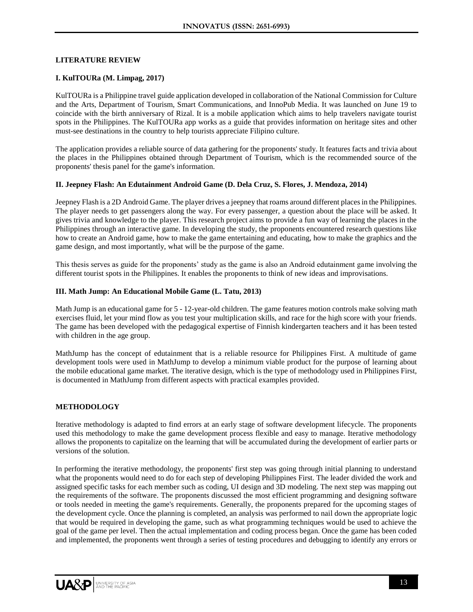#### **LITERATURE REVIEW**

#### **I. KulTOURa (M. Limpag, 2017)**

KulTOURa is a Philippine travel guide application developed in collaboration of the National Commission for Culture and the Arts, Department of Tourism, Smart Communications, and InnoPub Media. It was launched on June 19 to coincide with the birth anniversary of Rizal. It is a mobile application which aims to help travelers navigate tourist spots in the Philippines. The KulTOURa app works as a guide that provides information on heritage sites and other must-see destinations in the country to help tourists appreciate Filipino culture.

The application provides a reliable source of data gathering for the proponents' study. It features facts and trivia about the places in the Philippines obtained through Department of Tourism, which is the recommended source of the proponents' thesis panel for the game's information.

#### **II. Jeepney Flash: An Edutainment Android Game (D. Dela Cruz, S. Flores, J. Mendoza, 2014)**

Jeepney Flash is a 2D Android Game. The player drives a jeepney that roams around different places in the Philippines. The player needs to get passengers along the way. For every passenger, a question about the place will be asked. It gives trivia and knowledge to the player. This research project aims to provide a fun way of learning the places in the Philippines through an interactive game. In developing the study, the proponents encountered research questions like how to create an Android game, how to make the game entertaining and educating, how to make the graphics and the game design, and most importantly, what will be the purpose of the game.

This thesis serves as guide for the proponents' study as the game is also an Android edutainment game involving the different tourist spots in the Philippines. It enables the proponents to think of new ideas and improvisations.

#### **III. Math Jump: An Educational Mobile Game (L. Tatu, 2013)**

Math Jump is an educational game for 5 - 12-year-old children. The game features motion controls make solving math exercises fluid, let your mind flow as you test your multiplication skills, and race for the high score with your friends. The game has been developed with the pedagogical expertise of Finnish kindergarten teachers and it has been tested with children in the age group.

MathJump has the concept of edutainment that is a reliable resource for Philippines First. A multitude of game development tools were used in MathJump to develop a minimum viable product for the purpose of learning about the mobile educational game market. The iterative design, which is the type of methodology used in Philippines First, is documented in MathJump from different aspects with practical examples provided.

## **METHODOLOGY**

Iterative methodology is adapted to find errors at an early stage of software development lifecycle. The proponents used this methodology to make the game development process flexible and easy to manage. Iterative methodology allows the proponents to capitalize on the learning that will be accumulated during the development of earlier parts or versions of the solution.

In performing the iterative methodology, the proponents' first step was going through initial planning to understand what the proponents would need to do for each step of developing Philippines First. The leader divided the work and assigned specific tasks for each member such as coding, UI design and 3D modeling. The next step was mapping out the requirements of the software. The proponents discussed the most efficient programming and designing software or tools needed in meeting the game's requirements. Generally, the proponents prepared for the upcoming stages of the development cycle. Once the planning is completed, an analysis was performed to nail down the appropriate logic that would be required in developing the game, such as what programming techniques would be used to achieve the goal of the game per level. Then the actual implementation and coding process began. Once the game has been coded and implemented, the proponents went through a series of testing procedures and debugging to identify any errors or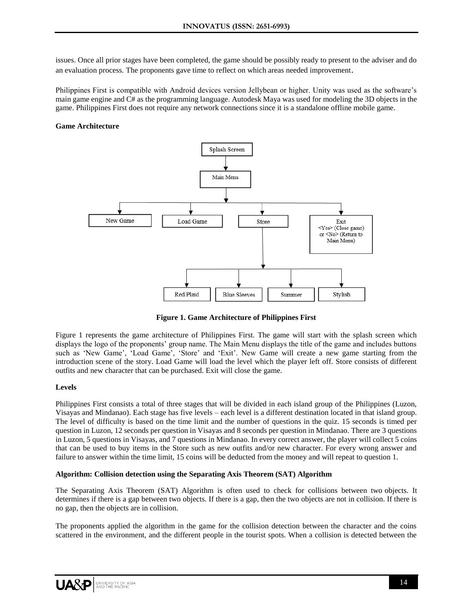issues. Once all prior stages have been completed, the game should be possibly ready to present to the adviser and do an evaluation process. The proponents gave time to reflect on which areas needed improvement.

Philippines First is compatible with Android devices version Jellybean or higher. Unity was used as the software's main game engine and C# as the programming language. Autodesk Maya was used for modeling the 3D objects in the game. Philippines First does not require any network connections since it is a standalone offline mobile game.

## **Game Architecture**



**Figure 1. Game Architecture of Philippines First**

Figure 1 represents the game architecture of Philippines First. The game will start with the splash screen which displays the logo of the proponents' group name. The Main Menu displays the title of the game and includes buttons such as 'New Game', 'Load Game', 'Store' and 'Exit'. New Game will create a new game starting from the introduction scene of the story. Load Game will load the level which the player left off. Store consists of different outfits and new character that can be purchased. Exit will close the game.

## **Levels**

Philippines First consists a total of three stages that will be divided in each island group of the Philippines (Luzon, Visayas and Mindanao). Each stage has five levels – each level is a different destination located in that island group. The level of difficulty is based on the time limit and the number of questions in the quiz. 15 seconds is timed per question in Luzon, 12 seconds per question in Visayas and 8 seconds per question in Mindanao. There are 3 questions in Luzon, 5 questions in Visayas, and 7 questions in Mindanao. In every correct answer, the player will collect 5 coins that can be used to buy items in the Store such as new outfits and/or new character. For every wrong answer and failure to answer within the time limit, 15 coins will be deducted from the money and will repeat to question 1.

## **Algorithm: Collision detection using the Separating Axis Theorem (SAT) Algorithm**

The Separating Axis Theorem (SAT) Algorithm is often used to check for collisions between two objects. It determines if there is a gap between two objects. If there is a gap, then the two objects are not in collision. If there is no gap, then the objects are in collision.

The proponents applied the algorithm in the game for the collision detection between the character and the coins scattered in the environment, and the different people in the tourist spots. When a collision is detected between the